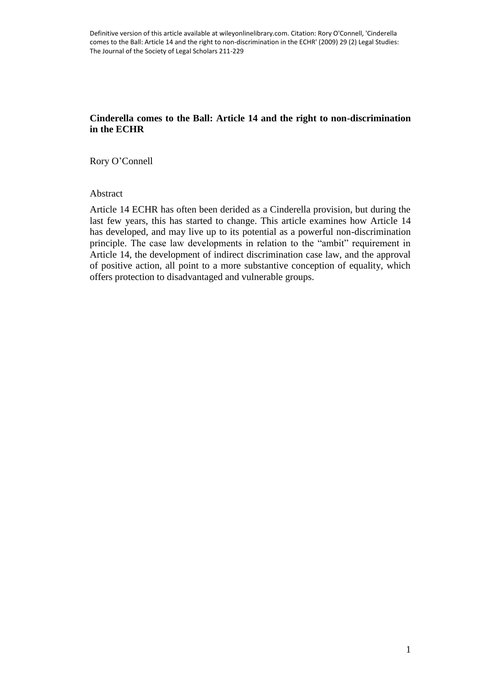# **Cinderella comes to the Ball: Article 14 and the right to non-discrimination in the ECHR**

Rory O'Connell

### Abstract

Article 14 ECHR has often been derided as a Cinderella provision, but during the last few years, this has started to change. This article examines how Article 14 has developed, and may live up to its potential as a powerful non-discrimination principle. The case law developments in relation to the "ambit" requirement in Article 14, the development of indirect discrimination case law, and the approval of positive action, all point to a more substantive conception of equality, which offers protection to disadvantaged and vulnerable groups.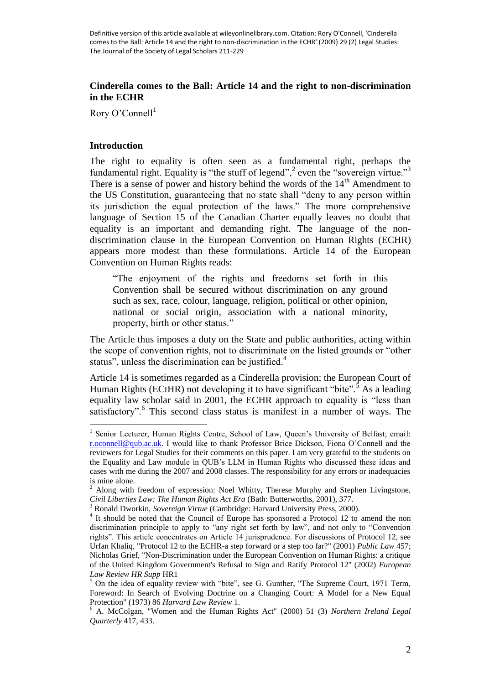# **Cinderella comes to the Ball: Article 14 and the right to non-discrimination in the ECHR**

Rory O'Connell<sup>1</sup>

# **Introduction**

The right to equality is often seen as a fundamental right, perhaps the fundamental right. Equality is "the stuff of legend",<sup>2</sup> even the "sovereign virtue."<sup>3</sup> There is a sense of power and history behind the words of the  $14<sup>th</sup>$  Amendment to the US Constitution, guaranteeing that no state shall "deny to any person within its jurisdiction the equal protection of the laws." The more comprehensive language of Section 15 of the Canadian Charter equally leaves no doubt that equality is an important and demanding right. The language of the nondiscrimination clause in the European Convention on Human Rights (ECHR) appears more modest than these formulations. Article 14 of the European Convention on Human Rights reads:

"The enjoyment of the rights and freedoms set forth in this Convention shall be secured without discrimination on any ground such as sex, race, colour, language, religion, political or other opinion, national or social origin, association with a national minority, property, birth or other status."

The Article thus imposes a duty on the State and public authorities, acting within the scope of convention rights, not to discriminate on the listed grounds or "other status", unless the discrimination can be justified.<sup>4</sup>

Article 14 is sometimes regarded as a Cinderella provision; the European Court of Human Rights (ECtHR) not developing it to have significant "bite".<sup>5</sup> As a leading equality law scholar said in 2001, the ECHR approach to equality is "less than satisfactory".<sup>6</sup> This second class status is manifest in a number of ways. The

 $\overline{a}$ <sup>1</sup> Senior Lecturer, Human Rights Centre, School of Law, Queen's University of Belfast; email: [r.oconnell@qub.ac.uk.](mailto:r.oconnell@qub.ac.uk) I would like to thank Professor Brice Dickson, Fiona O'Connell and the reviewers for Legal Studies for their comments on this paper. I am very grateful to the students on the Equality and Law module in QUB's LLM in Human Rights who discussed these ideas and cases with me during the 2007 and 2008 classes. The responsibility for any errors or inadequacies is mine alone.

 $2$  Along with freedom of expression: Noel Whitty, Therese Murphy and Stephen Livingstone, *Civil Liberties Law: The Human Rights Act Era* (Bath: Butterworths, 2001), 377.

<sup>3</sup> Ronald Dworkin, *Sovereign Virtue* (Cambridge: Harvard University Press, 2000).

<sup>&</sup>lt;sup>4</sup> It should be noted that the Council of Europe has sponsored a Protocol 12 to amend the non discrimination principle to apply to "any right set forth by law", and not only to "Convention rights". This article concentrates on Article 14 jurisprudence. For discussions of Protocol 12, see Urfan Khaliq, "Protocol 12 to the ECHR-a step forward or a step too far?" (2001) *Public Law* 457; Nicholas Grief, "Non-Discrimination under the European Convention on Human Rights: a critique of the United Kingdom Government's Refusal to Sign and Ratify Protocol 12" (2002) *European Law Review HR Supp* HR1

<sup>&</sup>lt;sup>5</sup> On the idea of equality review with "bite", see G. Gunther, "The Supreme Court, 1971 Term, Foreword: In Search of Evolving Doctrine on a Changing Court: A Model for a New Equal Protection" (1973) 86 *Harvard Law Review* 1.

<sup>6</sup> A. McColgan, "Women and the Human Rights Act" (2000) 51 (3) *Northern Ireland Legal Quarterly* 417, 433.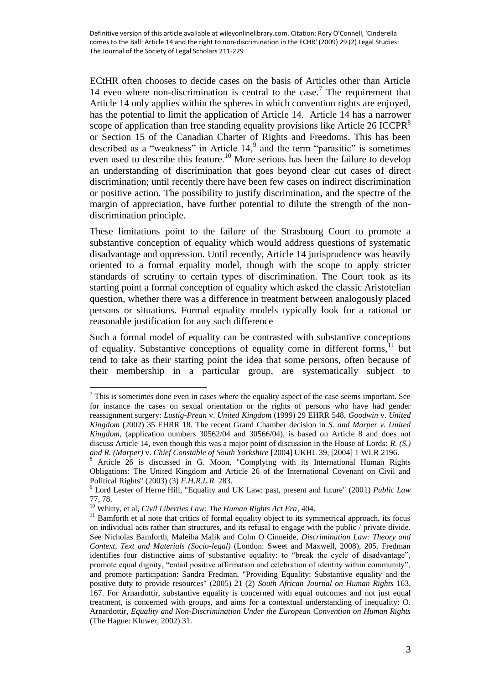ECtHR often chooses to decide cases on the basis of Articles other than Article 14 even where non-discrimination is central to the case.<sup>7</sup> The requirement that Article 14 only applies within the spheres in which convention rights are enjoyed, has the potential to limit the application of Article 14. Article 14 has a narrower scope of application than free standing equality provisions like Article 26 ICCPR $^8$ or Section 15 of the Canadian Charter of Rights and Freedoms. This has been described as a "weakness" in Article  $14$ ,  $9$  and the term "parasitic" is sometimes even used to describe this feature.<sup>10</sup> More serious has been the failure to develop an understanding of discrimination that goes beyond clear cut cases of direct discrimination; until recently there have been few cases on indirect discrimination or positive action. The possibility to justify discrimination, and the spectre of the margin of appreciation, have further potential to dilute the strength of the nondiscrimination principle.

These limitations point to the failure of the Strasbourg Court to promote a substantive conception of equality which would address questions of systematic disadvantage and oppression. Until recently, Article 14 jurisprudence was heavily oriented to a formal equality model, though with the scope to apply stricter standards of scrutiny to certain types of discrimination. The Court took as its starting point a formal conception of equality which asked the classic Aristotelian question, whether there was a difference in treatment between analogously placed persons or situations. Formal equality models typically look for a rational or reasonable justification for any such difference

Such a formal model of equality can be contrasted with substantive conceptions of equality. Substantive conceptions of equality come in different forms,  $\frac{11}{10}$  but tend to take as their starting point the idea that some persons, often because of their membership in a particular group, are systematically subject to

 $<sup>7</sup>$  This is sometimes done even in cases where the equality aspect of the case seems important. See</sup> for instance the cases on sexual orientation or the rights of persons who have had gender reassignment surgery: *Lustig-Prean* v. *United Kingdom* (1999) 29 EHRR 548, *Goodwin* v. *United Kingdom* (2002) 35 EHRR 18. The recent Grand Chamber decision in *S. and Marper v. United Kingdom*, (application numbers 30562/04 and 30566/04), is based on Article 8 and does not discuss Article 14, even though this was a major point of discussion in the House of Lords: *R. (S.) and R. (Marper)* v. *Chief Constable of South Yorkshire* [2004] UKHL 39, [2004] 1 WLR 2196.

<sup>8</sup> Article 26 is discussed in G. Moon, "Complying with its International Human Rights Obligations: The United Kingdom and Article 26 of the International Covenant on Civil and Political Rights" (2003) (3) *E.H.R.L.R.* 283.

<sup>9</sup> Lord Lester of Herne Hill, "Equality and UK Law: past, present and future" (2001) *Public Law* 77, 78.

<sup>10</sup> Whitty, et al, *Civil Liberties Law: The Human Rights Act Era*, 404.

<sup>&</sup>lt;sup>11</sup> Bamforth et al note that critics of formal equality object to its symmetrical approach, its focus on individual acts rather than structures, and its refusal to engage with the public / private divide. See Nicholas Bamforth, Maleiha Malik and Colm O Cinneide, *Discrimination Law: Theory and Context, Text and Materials (Socio-legal)* (London: Sweet and Maxwell, 2008), 205. Fredman identifies four distinctive aims of substantive equality: to "break the cycle of disadvantage", promote equal dignity, "entail positive affirmation and celebration of identity within community", and promote participation: Sandra Fredman, "Providing Equality: Substantive equality and the positive duty to provide resources" (2005) 21 (2) *South African Journal on Human Rights* 163, 167. For Arnardottir, substantive equality is concerned with equal outcomes and not just equal treatment, is concerned with groups, and aims for a contextual understanding of inequality: O. Arnardottir, *Equality and Non-Discrimination Under the European Convention on Human Rights* (The Hague: Kluwer, 2002) 31.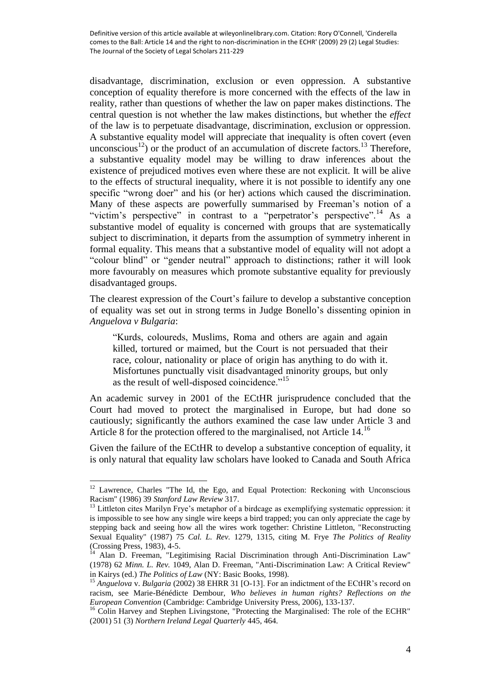disadvantage, discrimination, exclusion or even oppression. A substantive conception of equality therefore is more concerned with the effects of the law in reality, rather than questions of whether the law on paper makes distinctions. The central question is not whether the law makes distinctions, but whether the *effect* of the law is to perpetuate disadvantage, discrimination, exclusion or oppression. A substantive equality model will appreciate that inequality is often covert (even unconscious<sup>12</sup>) or the product of an accumulation of discrete factors.<sup>13</sup> Therefore, a substantive equality model may be willing to draw inferences about the existence of prejudiced motives even where these are not explicit. It will be alive to the effects of structural inequality, where it is not possible to identify any one specific "wrong doer" and his (or her) actions which caused the discrimination. Many of these aspects are powerfully summarised by Freeman's notion of a "victim's perspective" in contrast to a "perpetrator's perspective".<sup>14</sup> As a substantive model of equality is concerned with groups that are systematically subject to discrimination, it departs from the assumption of symmetry inherent in formal equality. This means that a substantive model of equality will not adopt a "colour blind" or "gender neutral" approach to distinctions; rather it will look more favourably on measures which promote substantive equality for previously disadvantaged groups.

The clearest expression of the Court's failure to develop a substantive conception of equality was set out in strong terms in Judge Bonello's dissenting opinion in *Anguelova v Bulgaria*:

"Kurds, coloureds, Muslims, Roma and others are again and again killed, tortured or maimed, but the Court is not persuaded that their race, colour, nationality or place of origin has anything to do with it. Misfortunes punctually visit disadvantaged minority groups, but only as the result of well-disposed coincidence."<sup>15</sup>

An academic survey in 2001 of the ECtHR jurisprudence concluded that the Court had moved to protect the marginalised in Europe, but had done so cautiously; significantly the authors examined the case law under Article 3 and Article 8 for the protection offered to the marginalised, not Article 14.<sup>16</sup>

Given the failure of the ECtHR to develop a substantive conception of equality, it is only natural that equality law scholars have looked to Canada and South Africa

 $12$  Lawrence, Charles "The Id, the Ego, and Equal Protection: Reckoning with Unconscious Racism" (1986) 39 *Stanford Law Review* 317.

 $13$  Littleton cites Marilyn Frye's metaphor of a birdcage as exemplifying systematic oppression: it is impossible to see how any single wire keeps a bird trapped; you can only appreciate the cage by stepping back and seeing how all the wires work together: Christine Littleton, "Reconstructing Sexual Equality" (1987) 75 *Cal. L. Rev.* 1279, 1315, citing M. Frye *The Politics of Reality*  (Crossing Press, 1983), 4-5.

 $I<sup>14</sup>$  Alan D. Freeman, "Legitimising Racial Discrimination through Anti-Discrimination Law" (1978) 62 *Minn. L. Rev.* 1049, Alan D. Freeman, "Anti-Discrimination Law: A Critical Review" in Kairys (ed.) *The Politics of Law* (NY: Basic Books, 1998).

<sup>&</sup>lt;sup>15</sup> *Anguelova v. Bulgaria* (2002) 38 EHRR 31 [O-13]. For an indictment of the ECtHR's record on racism, see Marie-Bénédicte Dembour, *Who believes in human rights? Reflections on the European Convention* (Cambridge: Cambridge University Press, 2006), 133-137.

<sup>&</sup>lt;sup>16</sup> Colin Harvey and Stephen Livingstone, "Protecting the Marginalised: The role of the ECHR" (2001) 51 (3) *Northern Ireland Legal Quarterly* 445, 464.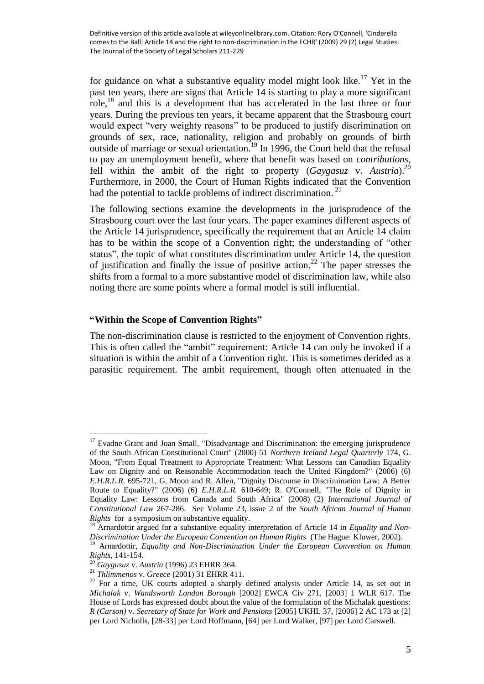for guidance on what a substantive equality model might look like.<sup>17</sup> Yet in the past ten years, there are signs that Article 14 is starting to play a more significant role,<sup>18</sup> and this is a development that has accelerated in the last three or four years. During the previous ten years, it became apparent that the Strasbourg court would expect "very weighty reasons" to be produced to justify discrimination on grounds of sex, race, nationality, religion and probably on grounds of birth outside of marriage or sexual orientation.<sup>19</sup> In 1996, the Court held that the refusal to pay an unemployment benefit, where that benefit was based on *contributions*, fell within the ambit of the right to property (*Gaygasuz* v. *Austria*). 20 Furthermore, in 2000, the Court of Human Rights indicated that the Convention had the potential to tackle problems of indirect discrimination.<sup>21</sup>

The following sections examine the developments in the jurisprudence of the Strasbourg court over the last four years. The paper examines different aspects of the Article 14 jurisprudence, specifically the requirement that an Article 14 claim has to be within the scope of a Convention right; the understanding of "other status", the topic of what constitutes discrimination under Article 14, the question of justification and finally the issue of positive action.<sup>22</sup> The paper stresses the shifts from a formal to a more substantive model of discrimination law, while also noting there are some points where a formal model is still influential.

## **"Within the Scope of Convention Rights"**

The non-discrimination clause is restricted to the enjoyment of Convention rights. This is often called the "ambit" requirement: Article 14 can only be invoked if a situation is within the ambit of a Convention right. This is sometimes derided as a parasitic requirement. The ambit requirement, though often attenuated in the

<sup>&</sup>lt;sup>17</sup> Evadne Grant and Joan Small, "Disadvantage and Discrimination: the emerging jurisprudence of the South African Constitutional Court" (2000) 51 *Northern Ireland Legal Quarterly* 174, G. Moon, "From Equal Treatment to Appropriate Treatment: What Lessons can Canadian Equality Law on Dignity and on Reasonable Accommodation teach the United Kingdom?" (2006) (6) *E.H.R.L.R.* 695-721, G. Moon and R. Allen, "Dignity Discourse in Discrimination Law: A Better Route to Equality?" (2006) (6) *E.H.R.L.R.* 610-649; R. O'Connell, "The Role of Dignity in Equality Law: Lessons from Canada and South Africa" (2008) (2) *International Journal of Constitutional Law* 267-286. See Volume 23, issue 2 of the *South African Journal of Human Rights* for a symposium on substantive equality.

<sup>&</sup>lt;sup>18</sup> Arnardottir argued for a substantive equality interpretation of Article 14 in *Equality and Non*-*Discrimination Under the European Convention on Human Rights* (The Hague: Kluwer, 2002).

<sup>19</sup> Arnardottir, *Equality and Non-Discrimination Under the European Convention on Human Rights*, 141-154.

<sup>20</sup> *Gaygusuz* v. *Austria* (1996) 23 EHRR 364.

<sup>21</sup> *Thlimmenos* v. *Greece* (2001) 31 EHRR 411.

 $22$  For a time, UK courts adopted a sharply defined analysis under Article 14, as set out in *Michalak* v. *Wandsworth London Borough* [2002] EWCA Civ 271, [2003] 1 WLR 617. The House of Lords has expressed doubt about the value of the formulation of the Michalak questions: *R (Carson)* v. *Secretary of State for Work and Pensions* [2005] UKHL 37, [2006] 2 AC 173 at [2] per Lord Nicholls, [28-33] per Lord Hoffmann, [64] per Lord Walker, [97] per Lord Carswell.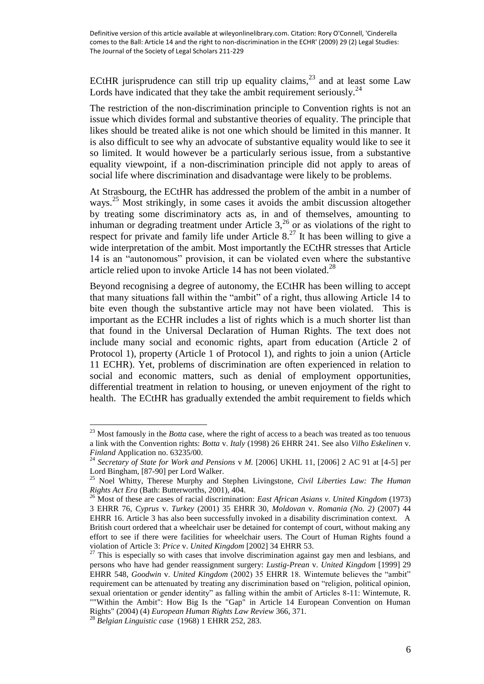ECtHR jurisprudence can still trip up equality claims,  $2<sup>3</sup>$  and at least some Law Lords have indicated that they take the ambit requirement seriously.<sup>24</sup>

The restriction of the non-discrimination principle to Convention rights is not an issue which divides formal and substantive theories of equality. The principle that likes should be treated alike is not one which should be limited in this manner. It is also difficult to see why an advocate of substantive equality would like to see it so limited. It would however be a particularly serious issue, from a substantive equality viewpoint, if a non-discrimination principle did not apply to areas of social life where discrimination and disadvantage were likely to be problems.

At Strasbourg, the ECtHR has addressed the problem of the ambit in a number of ways.<sup>25</sup> Most strikingly, in some cases it avoids the ambit discussion altogether by treating some discriminatory acts as, in and of themselves, amounting to inhuman or degrading treatment under Article  $3<sup>26</sup>$  or as violations of the right to respect for private and family life under Article 8.<sup>27</sup> It has been willing to give a wide interpretation of the ambit. Most importantly the ECtHR stresses that Article 14 is an "autonomous" provision, it can be violated even where the substantive article relied upon to invoke Article 14 has not been violated.<sup>28</sup>

Beyond recognising a degree of autonomy, the ECtHR has been willing to accept that many situations fall within the "ambit" of a right, thus allowing Article 14 to bite even though the substantive article may not have been violated. This is important as the ECHR includes a list of rights which is a much shorter list than that found in the Universal Declaration of Human Rights. The text does not include many social and economic rights, apart from education (Article 2 of Protocol 1), property (Article 1 of Protocol 1), and rights to join a union (Article 11 ECHR). Yet, problems of discrimination are often experienced in relation to social and economic matters, such as denial of employment opportunities, differential treatment in relation to housing, or uneven enjoyment of the right to health. The ECtHR has gradually extended the ambit requirement to fields which

<sup>&</sup>lt;sup>23</sup> Most famously in the *Botta* case, where the right of access to a beach was treated as too tenuous a link with the Convention rights: *Botta* v. *Italy* (1998) 26 EHRR 241. See also *Vilho Eskelinen* v. *Finland* Application no. 63235/00.

<sup>24</sup> *Secretary of State for Work and Pensions* v *M.* [2006] UKHL 11, [2006] 2 AC 91 at [4-5] per Lord Bingham, [87-90] per Lord Walker.

<sup>25</sup> Noel Whitty, Therese Murphy and Stephen Livingstone, *Civil Liberties Law: The Human Rights Act Era* (Bath: Butterworths, 2001), 404.

<sup>26</sup> Most of these are cases of racial discrimination: *East African Asians v. United Kingdom* (1973) 3 EHRR 76, *Cyprus* v. *Turkey* (2001) 35 EHRR 30, *Moldovan* v. *Romania (No. 2)* (2007) 44 EHRR 16. Article 3 has also been successfully invoked in a disability discrimination context. A British court ordered that a wheelchair user be detained for contempt of court, without making any effort to see if there were facilities for wheelchair users. The Court of Human Rights found a violation of Article 3: *Price* v. *United Kingdom* [2002] 34 EHRR 53.

 $27$  This is especially so with cases that involve discrimination against gay men and lesbians, and persons who have had gender reassignment surgery: *Lustig-Prean* v. *United Kingdom* [1999] 29 EHRR 548, *Goodwin* v. *United Kingdom* (2002) 35 EHRR 18. Wintemute believes the "ambit" requirement can be attenuated by treating any discrimination based on "religion, political opinion, sexual orientation or gender identity" as falling within the ambit of Articles 8-11: Wintemute, R. ""Within the Ambit": How Big Is the "Gap" in Article 14 European Convention on Human Rights" (2004) (4) *European Human Rights Law Review* 366, 371.

<sup>28</sup> *Belgian Linguistic case* (1968) 1 EHRR 252, 283.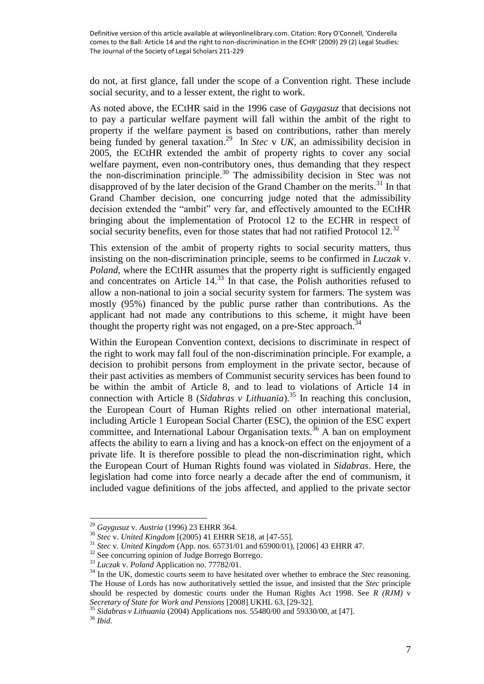do not, at first glance, fall under the scope of a Convention right. These include social security, and to a lesser extent, the right to work.

As noted above, the ECtHR said in the 1996 case of *Gaygasuz* that decisions not to pay a particular welfare payment will fall within the ambit of the right to property if the welfare payment is based on contributions, rather than merely being funded by general taxation.<sup>29</sup> In *Stec* v *UK*, an admissibility decision in 2005, the ECtHR extended the ambit of property rights to cover any social welfare payment, even non-contributory ones, thus demanding that they respect the non-discrimination principle.<sup>30</sup> The admissibility decision in Stec was not disapproved of by the later decision of the Grand Chamber on the merits.<sup>31</sup> In that Grand Chamber decision, one concurring judge noted that the admissibility decision extended the "ambit" very far, and effectively amounted to the ECtHR bringing about the implementation of Protocol 12 to the ECHR in respect of social security benefits, even for those states that had not ratified Protocol  $12^{32}$ 

This extension of the ambit of property rights to social security matters, thus insisting on the non-discrimination principle, seems to be confirmed in *Luczak* v. *Poland*, where the ECtHR assumes that the property right is sufficiently engaged and concentrates on Article  $14<sup>33</sup>$  In that case, the Polish authorities refused to allow a non-national to join a social security system for farmers. The system was mostly (95%) financed by the public purse rather than contributions. As the applicant had not made any contributions to this scheme, it might have been thought the property right was not engaged, on a pre-Stec approach.<sup>34</sup>

Within the European Convention context, decisions to discriminate in respect of the right to work may fall foul of the non-discrimination principle. For example, a decision to prohibit persons from employment in the private sector, because of their past activities as members of Communist security services has been found to be within the ambit of Article 8, and to lead to violations of Article 14 in connection with Article 8 (*Sidabras v Lithuania*).<sup>35</sup> In reaching this conclusion, the European Court of Human Rights relied on other international material, including Article 1 European Social Charter (ESC), the opinion of the ESC expert committee, and International Labour Organisation texts.<sup>36</sup> A ban on employment affects the ability to earn a living and has a knock-on effect on the enjoyment of a private life. It is therefore possible to plead the non-discrimination right, which the European Court of Human Rights found was violated in *Sidabras*. Here, the legislation had come into force nearly a decade after the end of communism, it included vague definitions of the jobs affected, and applied to the private sector

<sup>29</sup> *Gaygusuz* v. *Austria* (1996) 23 EHRR 364.

<sup>30</sup> *Stec* v. *United Kingdom* [(2005) 41 EHRR SE18, at [47-55].

<sup>31</sup> *Stec* v. *United Kingdom* (App. nos. 65731/01 and 65900/01), [2006] 43 EHRR 47.

<sup>&</sup>lt;sup>32</sup> See concurring opinion of Judge Borrego Borrego.

<sup>33</sup> *Luczak* v. *Poland* Application no. 77782/01.

<sup>&</sup>lt;sup>34</sup> In the UK, domestic courts seem to have hesitated over whether to embrace the *Stec* reasoning. The House of Lords has now authoritatively settled the issue, and insisted that the *Stec* principle should be respected by domestic courts under the Human Rights Act 1998. See *R (RJM)* v *Secretary of State for Work and Pensions* [2008] UKHL 63, [29-32].

<sup>35</sup> *Sidabras v Lithuania* (2004) Applications nos. 55480/00 and 59330/00, at [47].

<sup>36</sup> *Ibid.*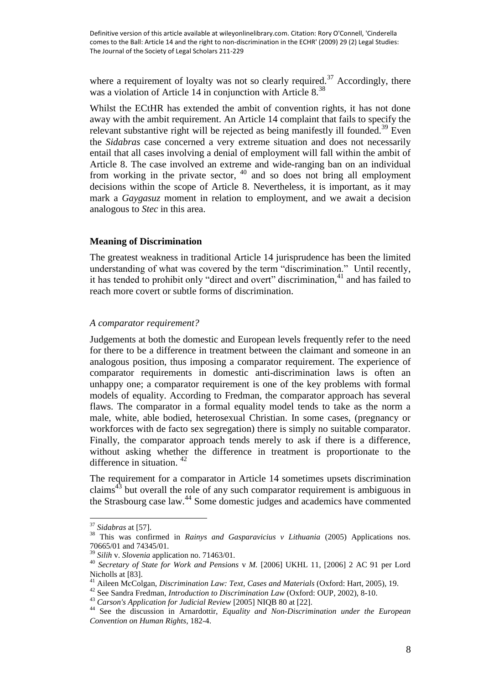where a requirement of loyalty was not so clearly required.<sup>37</sup> Accordingly, there was a violation of Article 14 in conjunction with Article 8.<sup>38</sup>

Whilst the ECtHR has extended the ambit of convention rights, it has not done away with the ambit requirement. An Article 14 complaint that fails to specify the relevant substantive right will be rejected as being manifestly ill founded.<sup>39</sup> Even the *Sidabras* case concerned a very extreme situation and does not necessarily entail that all cases involving a denial of employment will fall within the ambit of Article 8. The case involved an extreme and wide-ranging ban on an individual from working in the private sector,  $40$  and so does not bring all employment decisions within the scope of Article 8. Nevertheless, it is important, as it may mark a *Gaygasuz* moment in relation to employment, and we await a decision analogous to *Stec* in this area.

### **Meaning of Discrimination**

The greatest weakness in traditional Article 14 jurisprudence has been the limited understanding of what was covered by the term "discrimination." Until recently, it has tended to prohibit only "direct and overt" discrimination,<sup>41</sup> and has failed to reach more covert or subtle forms of discrimination.

#### *A comparator requirement?*

Judgements at both the domestic and European levels frequently refer to the need for there to be a difference in treatment between the claimant and someone in an analogous position, thus imposing a comparator requirement. The experience of comparator requirements in domestic anti-discrimination laws is often an unhappy one; a comparator requirement is one of the key problems with formal models of equality. According to Fredman, the comparator approach has several flaws. The comparator in a formal equality model tends to take as the norm a male, white, able bodied, heterosexual Christian. In some cases, (pregnancy or workforces with de facto sex segregation) there is simply no suitable comparator. Finally, the comparator approach tends merely to ask if there is a difference, without asking whether the difference in treatment is proportionate to the difference in situation. <sup>42</sup>

The requirement for a comparator in Article 14 sometimes upsets discrimination claims<sup>43</sup> but overall the role of any such comparator requirement is ambiguous in the Strasbourg case law.<sup>44</sup> Some domestic judges and academics have commented

<sup>37</sup> *Sidabras* at [57].

<sup>38</sup> This was confirmed in *Rainys and Gasparavicius v Lithuania* (2005) Applications nos. 70665/01 and 74345/01.

<sup>39</sup> *Silih* v. *Slovenia* application no. 71463/01.

<sup>40</sup> *Secretary of State for Work and Pensions* v *M.* [2006] UKHL 11, [2006] 2 AC 91 per Lord Nicholls at [83].

<sup>41</sup> Aileen McColgan, *Discrimination Law: Text, Cases and Materials* (Oxford: Hart, 2005), 19.

<sup>42</sup> See Sandra Fredman, *Introduction to Discrimination Law* (Oxford: OUP, 2002), 8-10.

<sup>43</sup> *Carson's Application for Judicial Review* [2005] NIQB 80 at [22].

<sup>44</sup> See the discussion in Arnardottir, *Equality and Non-Discrimination under the European Convention on Human Rights*, 182-4.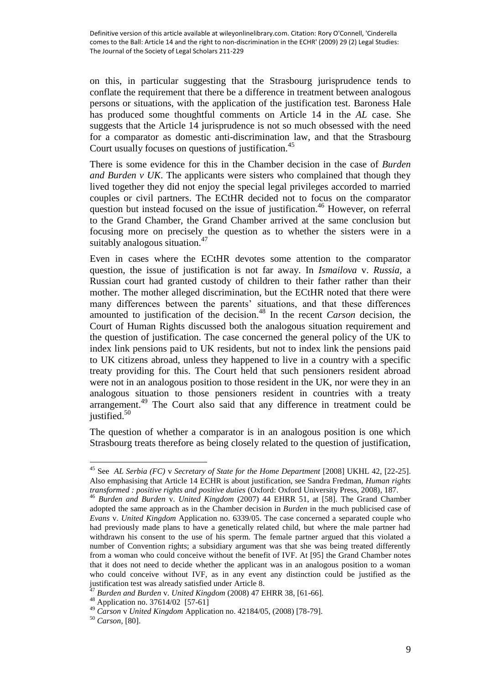on this, in particular suggesting that the Strasbourg jurisprudence tends to conflate the requirement that there be a difference in treatment between analogous persons or situations, with the application of the justification test. Baroness Hale has produced some thoughtful comments on Article 14 in the *AL* case. She suggests that the Article 14 jurisprudence is not so much obsessed with the need for a comparator as domestic anti-discrimination law, and that the Strasbourg Court usually focuses on questions of justification.<sup>45</sup>

There is some evidence for this in the Chamber decision in the case of *Burden and Burden v UK*. The applicants were sisters who complained that though they lived together they did not enjoy the special legal privileges accorded to married couples or civil partners. The ECtHR decided not to focus on the comparator question but instead focused on the issue of justification.<sup>46</sup> However, on referral to the Grand Chamber, the Grand Chamber arrived at the same conclusion but focusing more on precisely the question as to whether the sisters were in a suitably analogous situation. $47$ 

Even in cases where the ECtHR devotes some attention to the comparator question, the issue of justification is not far away. In *Ismailova* v. *Russia,* a Russian court had granted custody of children to their father rather than their mother. The mother alleged discrimination, but the ECtHR noted that there were many differences between the parents' situations, and that these differences amounted to justification of the decision.<sup>48</sup> In the recent *Carson* decision, the Court of Human Rights discussed both the analogous situation requirement and the question of justification. The case concerned the general policy of the UK to index link pensions paid to UK residents, but not to index link the pensions paid to UK citizens abroad, unless they happened to live in a country with a specific treaty providing for this. The Court held that such pensioners resident abroad were not in an analogous position to those resident in the UK, nor were they in an analogous situation to those pensioners resident in countries with a treaty arrangement.<sup>49</sup> The Court also said that any difference in treatment could be justified.<sup>50</sup>

The question of whether a comparator is in an analogous position is one which Strasbourg treats therefore as being closely related to the question of justification,

<sup>45</sup> See *AL Serbia (FC)* v *Secretary of State for the Home Department* [2008] UKHL 42, [22-25]. Also emphasising that Article 14 ECHR is about justification, see Sandra Fredman, *Human rights transformed : positive rights and positive duties* (Oxford: Oxford University Press, 2008), 187.

<sup>46</sup> *Burden and Burden* v. *United Kingdom* (2007) 44 EHRR 51, at [58]. The Grand Chamber adopted the same approach as in the Chamber decision in *Burden* in the much publicised case of *Evans* v. *United Kingdom* Application no. 6339/05. The case concerned a separated couple who had previously made plans to have a genetically related child, but where the male partner had withdrawn his consent to the use of his sperm. The female partner argued that this violated a number of Convention rights; a subsidiary argument was that she was being treated differently from a woman who could conceive without the benefit of IVF. At [95] the Grand Chamber notes that it does not need to decide whether the applicant was in an analogous position to a woman who could conceive without IVF, as in any event any distinction could be justified as the justification test was already satisfied under Article 8.

<sup>47</sup> *Burden and Burden* v. *United Kingdom* (2008) 47 EHRR 38, [61-66].

<sup>48</sup> Application no. 37614/02 [57-61]

<sup>49</sup> *Carson* v *United Kingdom* Application no. 42184/05, (2008) [78-79].

<sup>50</sup> *Carson*, [80].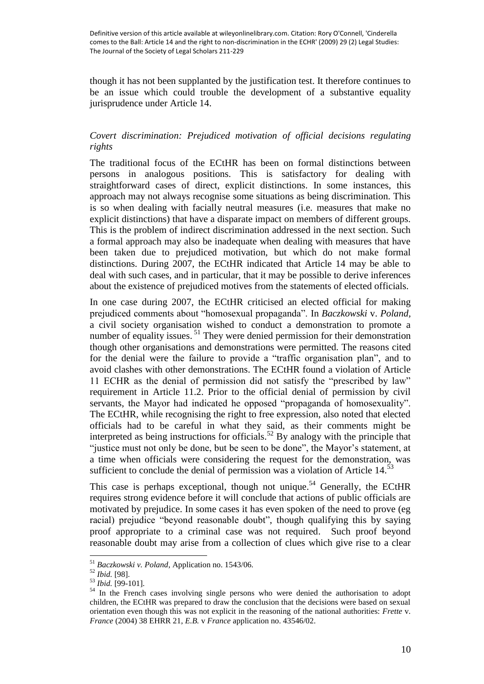though it has not been supplanted by the justification test. It therefore continues to be an issue which could trouble the development of a substantive equality jurisprudence under Article 14.

# *Covert discrimination: Prejudiced motivation of official decisions regulating rights*

The traditional focus of the ECtHR has been on formal distinctions between persons in analogous positions. This is satisfactory for dealing with straightforward cases of direct, explicit distinctions. In some instances, this approach may not always recognise some situations as being discrimination. This is so when dealing with facially neutral measures (i.e. measures that make no explicit distinctions) that have a disparate impact on members of different groups. This is the problem of indirect discrimination addressed in the next section. Such a formal approach may also be inadequate when dealing with measures that have been taken due to prejudiced motivation, but which do not make formal distinctions. During 2007, the ECtHR indicated that Article 14 may be able to deal with such cases, and in particular, that it may be possible to derive inferences about the existence of prejudiced motives from the statements of elected officials.

In one case during 2007, the ECtHR criticised an elected official for making prejudiced comments about "homosexual propaganda". In *Baczkowski* v. *Poland,* a civil society organisation wished to conduct a demonstration to promote a number of equality issues.<sup>51</sup> They were denied permission for their demonstration though other organisations and demonstrations were permitted. The reasons cited for the denial were the failure to provide a "traffic organisation plan", and to avoid clashes with other demonstrations. The ECtHR found a violation of Article 11 ECHR as the denial of permission did not satisfy the "prescribed by law" requirement in Article 11.2. Prior to the official denial of permission by civil servants, the Mayor had indicated he opposed "propaganda of homosexuality". The ECtHR, while recognising the right to free expression, also noted that elected officials had to be careful in what they said, as their comments might be interpreted as being instructions for officials.<sup>52</sup> By analogy with the principle that "justice must not only be done, but be seen to be done", the Mayor's statement, at a time when officials were considering the request for the demonstration, was sufficient to conclude the denial of permission was a violation of Article  $14$ .<sup>53</sup>

This case is perhaps exceptional, though not unique.<sup>54</sup> Generally, the ECtHR requires strong evidence before it will conclude that actions of public officials are motivated by prejudice. In some cases it has even spoken of the need to prove (eg racial) prejudice "beyond reasonable doubt", though qualifying this by saying proof appropriate to a criminal case was not required. Such proof beyond reasonable doubt may arise from a collection of clues which give rise to a clear

<sup>51</sup> *Baczkowski v. Poland*, Application no. 1543/06.

<sup>52</sup> *Ibid.* [98].

<sup>53</sup> *Ibid.* [99-101].

<sup>&</sup>lt;sup>54</sup> In the French cases involving single persons who were denied the authorisation to adopt children, the ECtHR was prepared to draw the conclusion that the decisions were based on sexual orientation even though this was not explicit in the reasoning of the national authorities: *Frette* v. *France* (2004) 38 EHRR 21, *E.B.* v *France* application no. 43546/02.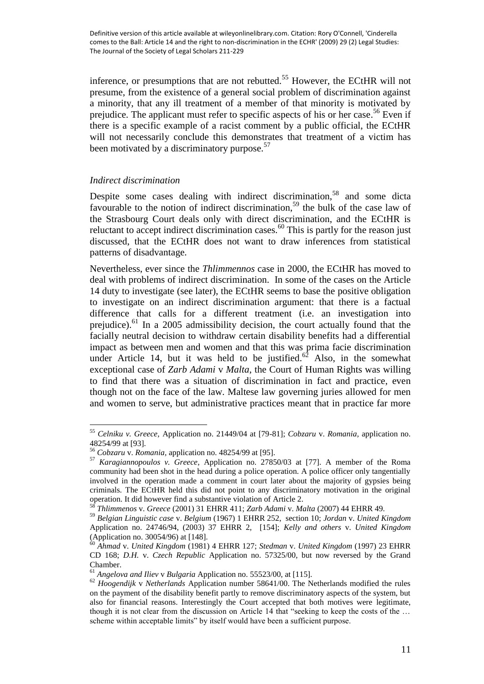inference, or presumptions that are not rebutted.<sup>55</sup> However, the ECtHR will not presume, from the existence of a general social problem of discrimination against a minority, that any ill treatment of a member of that minority is motivated by prejudice. The applicant must refer to specific aspects of his or her case.<sup>56</sup> Even if there is a specific example of a racist comment by a public official, the ECtHR will not necessarily conclude this demonstrates that treatment of a victim has been motivated by a discriminatory purpose.<sup>57</sup>

# *Indirect discrimination*

Despite some cases dealing with indirect discrimination,<sup>58</sup> and some dicta favourable to the notion of indirect discrimination,<sup>59</sup> the bulk of the case law of the Strasbourg Court deals only with direct discrimination, and the ECtHR is reluctant to accept indirect discrimination cases.<sup>60</sup> This is partly for the reason just discussed, that the ECtHR does not want to draw inferences from statistical patterns of disadvantage.

Nevertheless, ever since the *Thlimmennos* case in 2000, the ECtHR has moved to deal with problems of indirect discrimination. In some of the cases on the Article 14 duty to investigate (see later), the ECtHR seems to base the positive obligation to investigate on an indirect discrimination argument: that there is a factual difference that calls for a different treatment (i.e. an investigation into prejudice).<sup>61</sup> In a 2005 admissibility decision, the court actually found that the facially neutral decision to withdraw certain disability benefits had a differential impact as between men and women and that this was prima facie discrimination under Article 14, but it was held to be justified.<sup> $62$ </sup> Also, in the somewhat exceptional case of *Zarb Adami* v *Malta*, the Court of Human Rights was willing to find that there was a situation of discrimination in fact and practice, even though not on the face of the law. Maltese law governing juries allowed for men and women to serve, but administrative practices meant that in practice far more

 $\overline{a}$ <sup>55</sup> *Celniku v. Greece,* Application no. 21449/04 at [79-81]; *Cobzaru* v. *Romania,* application no. 48254/99 at [93].

<sup>56</sup> *Cobzaru* v. *Romania,* application no. 48254/99 at [95].

<sup>57</sup> *Karagiannopoulos v. Greece*, Application no. 27850/03 at [77]. A member of the Roma community had been shot in the head during a police operation. A police officer only tangentially involved in the operation made a comment in court later about the majority of gypsies being criminals. The ECtHR held this did not point to any discriminatory motivation in the original operation. It did however find a substantive violation of Article 2.

<sup>58</sup> *Thlimmenos* v. *Greece* (2001) 31 EHRR 411; *Zarb Adami* v. *Malta* (2007) 44 EHRR 49.

<sup>59</sup> *Belgian Linguistic case* v. *Belgium* (1967) 1 EHRR 252, section 10; *Jordan* v. *United Kingdom*  Application no. 24746/94, (2003) 37 EHRR 2, [154]; *Kelly and others* v. *United Kingdom* (Application no. 30054/96) at [148].

<sup>60</sup> *Ahmad* v. *United Kingdom* (1981) 4 EHRR 127; *Stedman* v. *United Kingdom* (1997) 23 EHRR CD 168; *D.H.* v. *Czech Republic* Application no. 57325/00, but now reversed by the Grand Chamber.

<sup>61</sup> *Angelova and Iliev* v *Bulgaria* Application no. 55523/00, at [115].

<sup>62</sup> *Hoogendijk* v *Netherlands* Application number 58641/00. The Netherlands modified the rules on the payment of the disability benefit partly to remove discriminatory aspects of the system, but also for financial reasons. Interestingly the Court accepted that both motives were legitimate, though it is not clear from the discussion on Article 14 that "seeking to keep the costs of the … scheme within acceptable limits" by itself would have been a sufficient purpose.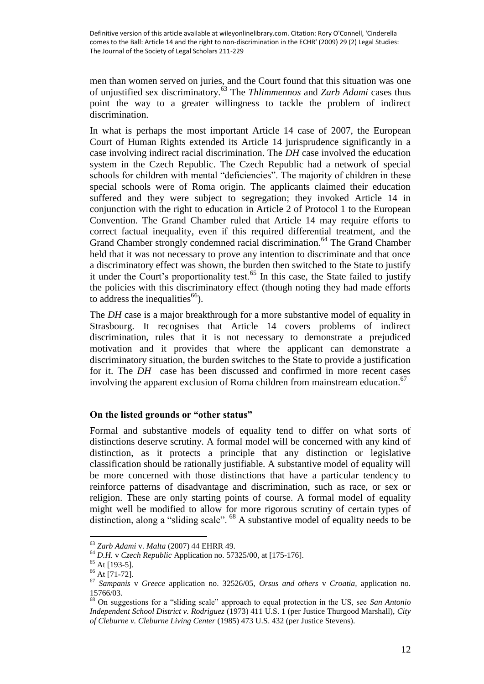men than women served on juries, and the Court found that this situation was one of unjustified sex discriminatory.<sup>63</sup> The *Thlimmennos* and *Zarb Adami* cases thus point the way to a greater willingness to tackle the problem of indirect discrimination.

In what is perhaps the most important Article 14 case of 2007, the European Court of Human Rights extended its Article 14 jurisprudence significantly in a case involving indirect racial discrimination. The *DH* case involved the education system in the Czech Republic. The Czech Republic had a network of special schools for children with mental "deficiencies". The majority of children in these special schools were of Roma origin. The applicants claimed their education suffered and they were subject to segregation; they invoked Article 14 in conjunction with the right to education in Article 2 of Protocol 1 to the European Convention. The Grand Chamber ruled that Article 14 may require efforts to correct factual inequality, even if this required differential treatment, and the Grand Chamber strongly condemned racial discrimination.<sup>64</sup> The Grand Chamber held that it was not necessary to prove any intention to discriminate and that once a discriminatory effect was shown, the burden then switched to the State to justify it under the Court's proportionality test. $65$  In this case, the State failed to justify the policies with this discriminatory effect (though noting they had made efforts to address the inequalities  $66$ .

The *DH* case is a major breakthrough for a more substantive model of equality in Strasbourg. It recognises that Article 14 covers problems of indirect discrimination, rules that it is not necessary to demonstrate a prejudiced motivation and it provides that where the applicant can demonstrate a discriminatory situation, the burden switches to the State to provide a justification for it. The *DH* case has been discussed and confirmed in more recent cases involving the apparent exclusion of Roma children from mainstream education.<sup>67</sup>

# **On the listed grounds or "other status"**

Formal and substantive models of equality tend to differ on what sorts of distinctions deserve scrutiny. A formal model will be concerned with any kind of distinction, as it protects a principle that any distinction or legislative classification should be rationally justifiable. A substantive model of equality will be more concerned with those distinctions that have a particular tendency to reinforce patterns of disadvantage and discrimination, such as race, or sex or religion. These are only starting points of course. A formal model of equality might well be modified to allow for more rigorous scrutiny of certain types of distinction, along a "sliding scale".  $^{68}$  A substantive model of equality needs to be

<sup>63</sup> *Zarb Adami* v. *Malta* (2007) 44 EHRR 49.

<sup>64</sup> *D.H.* v *Czech Republic* Application no. 57325/00, at [175-176].

<sup>65</sup> At [193-5].

<sup>66</sup> At [71-72].

<sup>67</sup> *Sampanis* v *Greece* application no. 32526/05, *Orsus and others* v *Croatia,* application no. 15766/03.

<sup>68</sup> On suggestions for a "sliding scale" approach to equal protection in the US, see *San Antonio Independent School District v. Rodriguez* (1973) 411 U.S. 1 (per Justice Thurgood Marshall), *City of Cleburne v. Cleburne Living Center* (1985) 473 U.S. 432 (per Justice Stevens).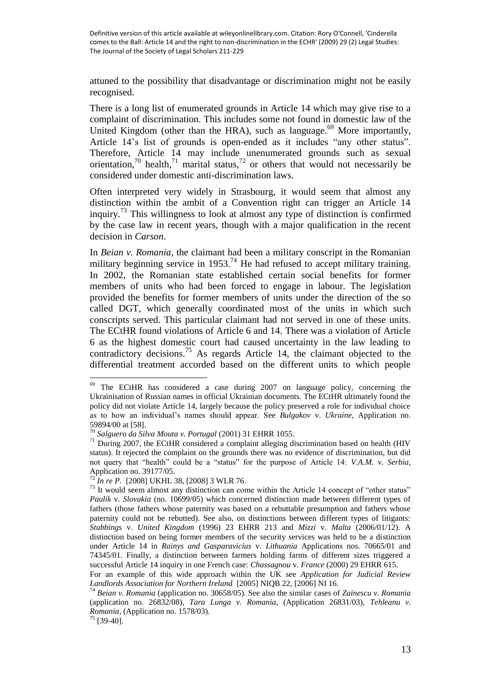attuned to the possibility that disadvantage or discrimination might not be easily recognised.

There is a long list of enumerated grounds in Article 14 which may give rise to a complaint of discrimination. This includes some not found in domestic law of the United Kingdom (other than the HRA), such as language. $69$  More importantly, Article 14's list of grounds is open-ended as it includes "any other status". Therefore, Article 14 may include unenumerated grounds such as sexual orientation,<sup>70</sup> health,<sup>71</sup> marital status,<sup>72</sup> or others that would not necessarily be considered under domestic anti-discrimination laws.

Often interpreted very widely in Strasbourg, it would seem that almost any distinction within the ambit of a Convention right can trigger an Article 14 inquiry.<sup>73</sup> This willingness to look at almost any type of distinction is confirmed by the case law in recent years, though with a major qualification in the recent decision in *Carson*.

In *Beian v. Romania*, the claimant had been a military conscript in the Romanian military beginning service in 1953.<sup>74</sup> He had refused to accept military training. In 2002, the Romanian state established certain social benefits for former members of units who had been forced to engage in labour. The legislation provided the benefits for former members of units under the direction of the so called DGT, which generally coordinated most of the units in which such conscripts served. This particular claimant had not served in one of these units. The ECtHR found violations of Article 6 and 14. There was a violation of Article 6 as the highest domestic court had caused uncertainty in the law leading to contradictory decisions.<sup>75</sup> As regards Article 14, the claimant objected to the differential treatment accorded based on the different units to which people

<sup>69</sup> The ECtHR has considered a case during 2007 on language policy, concerning the Ukrainisation of Russian names in official Ukrainian documents. The ECtHR ultimately found the policy did not violate Article 14, largely because the policy preserved a role for individual choice as to how an individual's names should appear. See *Bulgakov* v. *Ukraine,* Application no. 59894/00 at [58].

<sup>70</sup> *Salguero da Silva Mouta v. Portugal* (2001) 31 EHRR 1055.

 $71$  During 2007, the ECtHR considered a complaint alleging discrimination based on health (HIV status). It rejected the complaint on the grounds there was no evidence of discrimination, but did not query that "health" could be a "status" for the purpose of Article 14: *V.A.M.* v. *Serbia,*  Application no. 39177/05.

 $72$  *In re P.* [2008] UKHL 38, [2008] 3 WLR 76.

<sup>&</sup>lt;sup>73</sup> It would seem almost any distinction can come within the Article 14 concept of "other status" *Paulik* v. *Slovakia* (no. 10699/05) which concerned distinction made between different types of fathers (those fathers whose paternity was based on a rebuttable presumption and fathers whose paternity could not be rebutted). See also, on distinctions between different types of litigants: *Stubbings* v. *United Kingdom* (1996) 23 EHRR 213 and *Mizzi* v. *Malta* (2006/01/12). A distinction based on being former members of the security services was held to be a distinction under Article 14 in *Rainys and Gasparavicius* v. *Lithuania* Applications nos. 70665/01 and 74345/01. Finally, a distinction between farmers holding farms of different sizes triggered a successful Article 14 inquiry in one French case: *Chassagnou* v. *France* (2000) 29 EHRR 615.

For an example of this wide approach within the UK see *Application for Judicial Review Landlords Association for Northern Ireland* [2005] NIQB 22, [2006] NI 16.

<sup>74</sup> *Beian v. Romania* (application no. 30658/05). See also the similar cases of *Zainescu v. Romania*  (application no. 26832/08), *Tara Lunga v. Romania*, (Application 26831/03), *Tehleanu v. Romania*, (Application no. 1578/03).

 $75$  [39-40].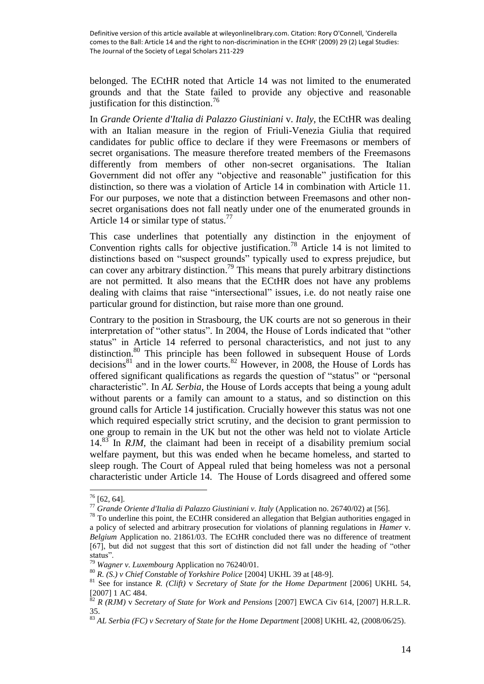belonged. The ECtHR noted that Article 14 was not limited to the enumerated grounds and that the State failed to provide any objective and reasonable justification for this distinction.<sup>76</sup>

In *Grande Oriente d'Italia di Palazzo Giustiniani* v. *Italy*, the ECtHR was dealing with an Italian measure in the region of Friuli-Venezia Giulia that required candidates for public office to declare if they were Freemasons or members of secret organisations. The measure therefore treated members of the Freemasons differently from members of other non-secret organisations. The Italian Government did not offer any "objective and reasonable" justification for this distinction, so there was a violation of Article 14 in combination with Article 11. For our purposes, we note that a distinction between Freemasons and other nonsecret organisations does not fall neatly under one of the enumerated grounds in Article 14 or similar type of status.<sup>77</sup>

This case underlines that potentially any distinction in the enjoyment of Convention rights calls for objective justification.<sup>78</sup> Article 14 is not limited to distinctions based on "suspect grounds" typically used to express prejudice, but can cover any arbitrary distinction. <sup>79</sup> This means that purely arbitrary distinctions are not permitted. It also means that the ECtHR does not have any problems dealing with claims that raise "intersectional" issues, i.e. do not neatly raise one particular ground for distinction, but raise more than one ground.

Contrary to the position in Strasbourg, the UK courts are not so generous in their interpretation of "other status". In 2004, the House of Lords indicated that "other status" in Article 14 referred to personal characteristics, and not just to any distinction. <sup>80</sup> This principle has been followed in subsequent House of Lords decisions $81$  and in the lower courts.  $82$  However, in 2008, the House of Lords has offered significant qualifications as regards the question of "status" or "personal characteristic". In *AL Serbia*, the House of Lords accepts that being a young adult without parents or a family can amount to a status, and so distinction on this ground calls for Article 14 justification. Crucially however this status was not one which required especially strict scrutiny, and the decision to grant permission to one group to remain in the UK but not the other was held not to violate Article 14.<sup>83</sup> In *RJM*, the claimant had been in receipt of a disability premium social welfare payment, but this was ended when he became homeless, and started to sleep rough. The Court of Appeal ruled that being homeless was not a personal characteristic under Article 14. The House of Lords disagreed and offered some

 $^{76}$  [62, 64].

<sup>77</sup> *Grande Oriente d'Italia di Palazzo Giustiniani v. Italy* (Application no. 26740/02) at [56].

 $78$  To underline this point, the ECtHR considered an allegation that Belgian authorities engaged in a policy of selected and arbitrary prosecution for violations of planning regulations in *Hamer* v. *Belgium* Application no. 21861/03. The ECtHR concluded there was no difference of treatment [67], but did not suggest that this sort of distinction did not fall under the heading of "other status".

<sup>79</sup> *Wagner v. Luxembourg* Application no 76240/01.

<sup>80</sup> *R. (S.) v Chief Constable of Yorkshire Police* [2004] UKHL 39 at [48-9].

<sup>81</sup> See for instance *R. (Clift)* v *Secretary of State for the Home Department* [2006] UKHL 54, [2007] 1 AC 484.

<sup>82</sup> *R* (*RJM*) v *Secretary of State for Work and Pensions* [2007] EWCA Civ 614, [2007] H.R.L.R. 35.

<sup>83</sup> *AL Serbia (FC) v Secretary of State for the Home Department* [2008] UKHL 42, (2008/06/25).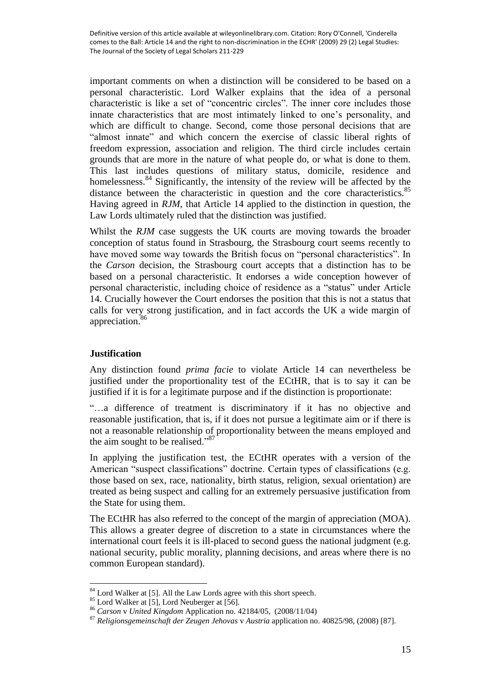important comments on when a distinction will be considered to be based on a personal characteristic. Lord Walker explains that the idea of a personal characteristic is like a set of "concentric circles". The inner core includes those innate characteristics that are most intimately linked to one's personality, and which are difficult to change. Second, come those personal decisions that are "almost innate" and which concern the exercise of classic liberal rights of freedom expression, association and religion. The third circle includes certain grounds that are more in the nature of what people do, or what is done to them. This last includes questions of military status, domicile, residence and homelessness.<sup>84</sup> Significantly, the intensity of the review will be affected by the distance between the characteristic in question and the core characteristics.<sup>85</sup> Having agreed in *RJM*, that Article 14 applied to the distinction in question, the Law Lords ultimately ruled that the distinction was justified.

Whilst the *RJM* case suggests the UK courts are moving towards the broader conception of status found in Strasbourg, the Strasbourg court seems recently to have moved some way towards the British focus on "personal characteristics". In the *Carson* decision, the Strasbourg court accepts that a distinction has to be based on a personal characteristic. It endorses a wide conception however of personal characteristic, including choice of residence as a "status" under Article 14. Crucially however the Court endorses the position that this is not a status that calls for very strong justification, and in fact accords the UK a wide margin of appreciation.<sup>86</sup>

# **Justification**

 $\overline{a}$ 

Any distinction found *prima facie* to violate Article 14 can nevertheless be justified under the proportionality test of the ECtHR, that is to say it can be justified if it is for a legitimate purpose and if the distinction is proportionate:

"…a difference of treatment is discriminatory if it has no objective and reasonable justification, that is, if it does not pursue a legitimate aim or if there is not a reasonable relationship of proportionality between the means employed and the aim sought to be realised."<sup>87</sup>

In applying the justification test, the ECtHR operates with a version of the American "suspect classifications" doctrine. Certain types of classifications (e.g. those based on sex, race, nationality, birth status, religion, sexual orientation) are treated as being suspect and calling for an extremely persuasive justification from the State for using them.

The ECtHR has also referred to the concept of the margin of appreciation (MOA). This allows a greater degree of discretion to a state in circumstances where the international court feels it is ill-placed to second guess the national judgment (e.g. national security, public morality, planning decisions, and areas where there is no common European standard).

<sup>&</sup>lt;sup>84</sup> Lord Walker at [5]. All the Law Lords agree with this short speech.

<sup>&</sup>lt;sup>85</sup> Lord Walker at [5], Lord Neuberger at [56].

<sup>86</sup> *Carson* v *United Kingdom* Application no. 42184/05, (2008/11/04)

<sup>87</sup> *Religionsgemeinschaft der Zeugen Jehovas* v *Austria* application no. 40825/98, (2008) [87].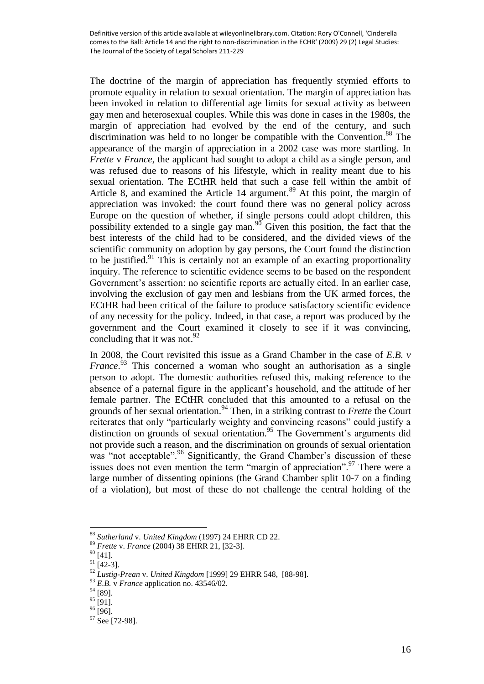The doctrine of the margin of appreciation has frequently stymied efforts to promote equality in relation to sexual orientation. The margin of appreciation has been invoked in relation to differential age limits for sexual activity as between gay men and heterosexual couples. While this was done in cases in the 1980s, the margin of appreciation had evolved by the end of the century, and such discrimination was held to no longer be compatible with the Convention. <sup>88</sup> The appearance of the margin of appreciation in a 2002 case was more startling. In *Frette* v *France*, the applicant had sought to adopt a child as a single person, and was refused due to reasons of his lifestyle, which in reality meant due to his sexual orientation. The ECtHR held that such a case fell within the ambit of Article 8, and examined the Article 14 argument.<sup>89</sup> At this point, the margin of appreciation was invoked: the court found there was no general policy across Europe on the question of whether, if single persons could adopt children, this possibility extended to a single gay man.<sup>90</sup> Given this position, the fact that the best interests of the child had to be considered, and the divided views of the scientific community on adoption by gay persons, the Court found the distinction to be justified.<sup>91</sup> This is certainly not an example of an exacting proportionality inquiry. The reference to scientific evidence seems to be based on the respondent Government's assertion: no scientific reports are actually cited. In an earlier case, involving the exclusion of gay men and lesbians from the UK armed forces, the ECtHR had been critical of the failure to produce satisfactory scientific evidence of any necessity for the policy. Indeed, in that case, a report was produced by the government and the Court examined it closely to see if it was convincing, concluding that it was not. $92$ 

In 2008, the Court revisited this issue as a Grand Chamber in the case of *E.B. v France*.<sup>93</sup> This concerned a woman who sought an authorisation as a single person to adopt. The domestic authorities refused this, making reference to the absence of a paternal figure in the applicant's household, and the attitude of her female partner. The ECtHR concluded that this amounted to a refusal on the grounds of her sexual orientation.<sup>94</sup> Then, in a striking contrast to *Frette* the Court reiterates that only "particularly weighty and convincing reasons" could justify a distinction on grounds of sexual orientation.<sup>95</sup> The Government's arguments did not provide such a reason, and the discrimination on grounds of sexual orientation was "not acceptable".<sup>96</sup> Significantly, the Grand Chamber's discussion of these issues does not even mention the term "margin of appreciation".<sup>97</sup> There were a large number of dissenting opinions (the Grand Chamber split 10-7 on a finding of a violation), but most of these do not challenge the central holding of the

<sup>88</sup> *Sutherland* v. *United Kingdom* (1997) 24 EHRR CD 22.

<sup>89</sup> *Frette* v. *France* (2004) 38 EHRR 21, [32-3].

 $90$  [41].

 $91$  [42-3].

<sup>92</sup> *Lustig-Prean* v. *United Kingdom* [1999] 29 EHRR 548, [88-98].

<sup>93</sup> *E.B.* v *France* application no. 43546/02.

<sup>94</sup> [89].

 $95$  [91].

 $96$  [96].

<sup>&</sup>lt;sup>97</sup> See [72-98].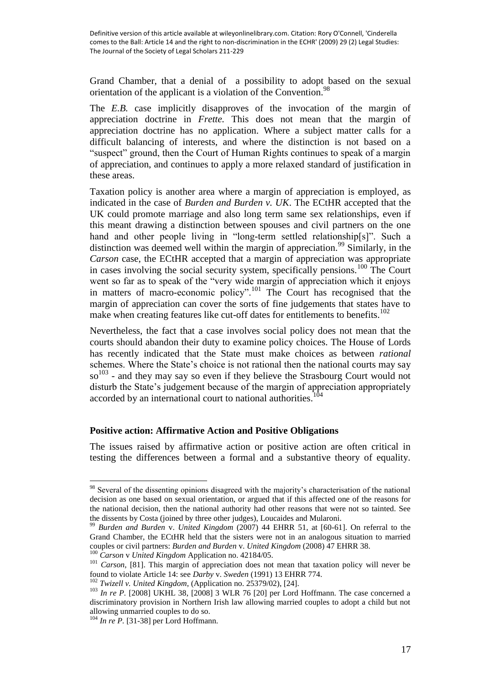Grand Chamber, that a denial of a possibility to adopt based on the sexual orientation of the applicant is a violation of the Convention.<sup>98</sup>

The *E.B.* case implicitly disapproves of the invocation of the margin of appreciation doctrine in *Frette.* This does not mean that the margin of appreciation doctrine has no application. Where a subject matter calls for a difficult balancing of interests, and where the distinction is not based on a "suspect" ground, then the Court of Human Rights continues to speak of a margin of appreciation, and continues to apply a more relaxed standard of justification in these areas.

Taxation policy is another area where a margin of appreciation is employed, as indicated in the case of *Burden and Burden v. UK*. The ECtHR accepted that the UK could promote marriage and also long term same sex relationships, even if this meant drawing a distinction between spouses and civil partners on the one hand and other people living in "long-term settled relationship[s]". Such a distinction was deemed well within the margin of appreciation.<sup>99</sup> Similarly, in the *Carson* case, the ECtHR accepted that a margin of appreciation was appropriate in cases involving the social security system, specifically pensions.<sup>100</sup> The Court went so far as to speak of the "very wide margin of appreciation which it enjoys in matters of macro-economic policy".<sup>101</sup> The Court has recognised that the margin of appreciation can cover the sorts of fine judgements that states have to make when creating features like cut-off dates for entitlements to benefits.<sup>102</sup>

Nevertheless, the fact that a case involves social policy does not mean that the courts should abandon their duty to examine policy choices. The House of Lords has recently indicated that the State must make choices as between *rational* schemes. Where the State's choice is not rational then the national courts may say  $\mathrm{so}^{103}$  - and they may say so even if they believe the Strasbourg Court would not disturb the State's judgement because of the margin of appreciation appropriately accorded by an international court to national authorities.<sup>104</sup>

### **Positive action: Affirmative Action and Positive Obligations**

The issues raised by affirmative action or positive action are often critical in testing the differences between a formal and a substantive theory of equality.

<sup>&</sup>lt;sup>98</sup> Several of the dissenting opinions disagreed with the majority's characterisation of the national decision as one based on sexual orientation, or argued that if this affected one of the reasons for the national decision, then the national authority had other reasons that were not so tainted. See the dissents by Costa (joined by three other judges), Loucaides and Mularoni.

<sup>99</sup> *Burden and Burden* v. *United Kingdom* (2007) 44 EHRR 51, at [60-61]. On referral to the Grand Chamber, the ECtHR held that the sisters were not in an analogous situation to married couples or civil partners: *Burden and Burden* v. *United Kingdom* (2008) 47 EHRR 38. <sup>100</sup> *Carson* v *United Kingdom* Application no. 42184/05.

<sup>&</sup>lt;sup>101</sup> *Carson*, [81]. This margin of appreciation does not mean that taxation policy will never be found to violate Article 14: see *Darby* v. *Sweden* (1991) 13 EHRR 774.

<sup>102</sup> *Twizell v. United Kingdom*, (Application no. 25379/02), [24].

<sup>&</sup>lt;sup>103</sup> *In re P*. [2008] UKHL 38, [2008] 3 WLR 76 [20] per Lord Hoffmann. The case concerned a discriminatory provision in Northern Irish law allowing married couples to adopt a child but not allowing unmarried couples to do so.

 $^{104}$  *In re P.* [31-38] per Lord Hoffmann.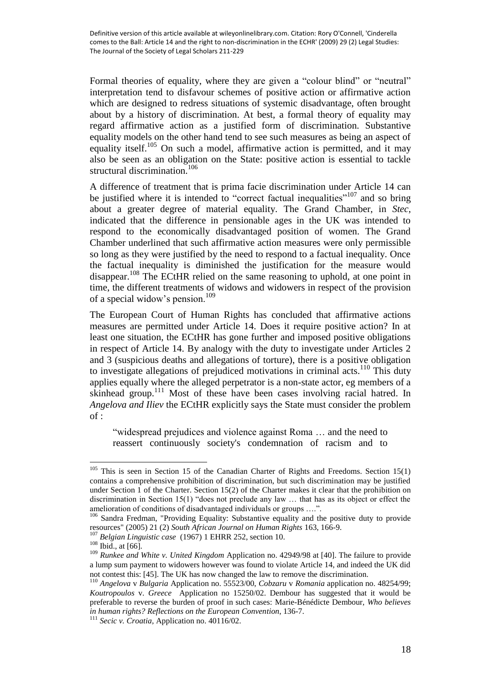Formal theories of equality, where they are given a "colour blind" or "neutral" interpretation tend to disfavour schemes of positive action or affirmative action which are designed to redress situations of systemic disadvantage, often brought about by a history of discrimination. At best, a formal theory of equality may regard affirmative action as a justified form of discrimination. Substantive equality models on the other hand tend to see such measures as being an aspect of equality itself.<sup>105</sup> On such a model, affirmative action is permitted, and it may also be seen as an obligation on the State: positive action is essential to tackle structural discrimination.<sup>106</sup>

A difference of treatment that is prima facie discrimination under Article 14 can be justified where it is intended to "correct factual inequalities"<sup>107</sup> and so bring about a greater degree of material equality. The Grand Chamber, in *Stec*, indicated that the difference in pensionable ages in the UK was intended to respond to the economically disadvantaged position of women. The Grand Chamber underlined that such affirmative action measures were only permissible so long as they were justified by the need to respond to a factual inequality. Once the factual inequality is diminished the justification for the measure would disappear.<sup>108</sup> The ECtHR relied on the same reasoning to uphold, at one point in time, the different treatments of widows and widowers in respect of the provision of a special widow's pension.<sup>109</sup>

The European Court of Human Rights has concluded that affirmative actions measures are permitted under Article 14. Does it require positive action? In at least one situation, the ECtHR has gone further and imposed positive obligations in respect of Article 14. By analogy with the duty to investigate under Articles 2 and 3 (suspicious deaths and allegations of torture), there is a positive obligation to investigate allegations of prejudiced motivations in criminal acts.<sup>110</sup> This duty applies equally where the alleged perpetrator is a non-state actor, eg members of a skinhead group.<sup>111</sup> Most of these have been cases involving racial hatred. In *Angelova and Iliev* the ECtHR explicitly says the State must consider the problem of :

"widespread prejudices and violence against Roma … and the need to reassert continuously society's condemnation of racism and to

 $105$  This is seen in Section 15 of the Canadian Charter of Rights and Freedoms. Section 15(1) contains a comprehensive prohibition of discrimination, but such discrimination may be justified under Section 1 of the Charter. Section 15(2) of the Charter makes it clear that the prohibition on discrimination in Section 15(1) "does not preclude any law … that has as its object or effect the amelioration of conditions of disadvantaged individuals or groups ….".

<sup>&</sup>lt;sup>106</sup> Sandra Fredman, "Providing Equality: Substantive equality and the positive duty to provide resources" (2005) 21 (2) *South African Journal on Human Rights* 163, 166-9.

<sup>107</sup> *Belgian Linguistic case* (1967) 1 EHRR 252, section 10.

 $108$  Ibid., at [66].

<sup>109</sup> *Runkee and White v. United Kingdom* Application no. 42949/98 at [40]. The failure to provide a lump sum payment to widowers however was found to violate Article 14, and indeed the UK did not contest this: [45]. The UK has now changed the law to remove the discrimination.

<sup>110</sup> *Angelova* v *Bulgaria* Application no. 55523/00, *Cobzaru* v *Romania* application no. 48254/99; *Koutropoulos* v. *Greece* Application no 15250/02. Dembour has suggested that it would be preferable to reverse the burden of proof in such cases: Marie-Bénédicte Dembour, *Who believes in human rights? Reflections on the European Convention*, 136-7.

<sup>111</sup> *Secic v. Croatia,* Application no. 40116/02.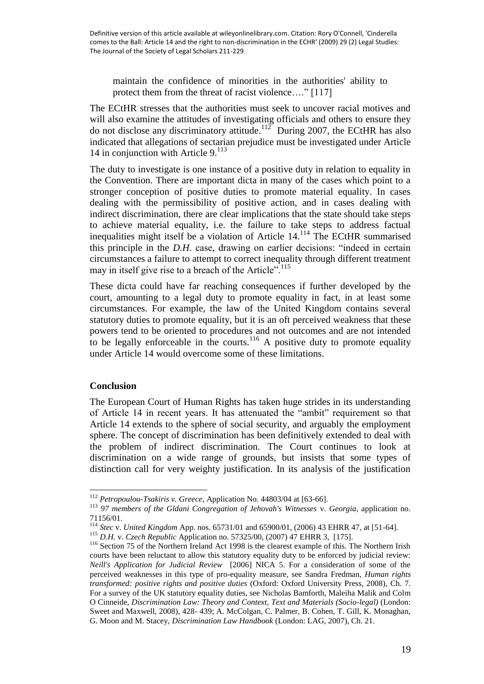maintain the confidence of minorities in the authorities' ability to protect them from the threat of racist violence…." [117]

The ECtHR stresses that the authorities must seek to uncover racial motives and will also examine the attitudes of investigating officials and others to ensure they do not disclose any discriminatory attitude.<sup>112</sup> During 2007, the ECtHR has also indicated that allegations of sectarian prejudice must be investigated under Article 14 in conjunction with Article  $9.113$ 

The duty to investigate is one instance of a positive duty in relation to equality in the Convention. There are important dicta in many of the cases which point to a stronger conception of positive duties to promote material equality. In cases dealing with the permissibility of positive action, and in cases dealing with indirect discrimination, there are clear implications that the state should take steps to achieve material equality, i.e. the failure to take steps to address factual inequalities might itself be a violation of Article  $14$ .<sup>114</sup> The ECtHR summarised this principle in the *D.H.* case, drawing on earlier decisions: "indeed in certain circumstances a failure to attempt to correct inequality through different treatment may in itself give rise to a breach of the Article".<sup>115</sup>

These dicta could have far reaching consequences if further developed by the court, amounting to a legal duty to promote equality in fact, in at least some circumstances. For example, the law of the United Kingdom contains several statutory duties to promote equality, but it is an oft perceived weakness that these powers tend to be oriented to procedures and not outcomes and are not intended to be legally enforceable in the courts.<sup>116</sup> A positive duty to promote equality under Article 14 would overcome some of these limitations.

### **Conclusion**

 $\overline{a}$ 

The European Court of Human Rights has taken huge strides in its understanding of Article 14 in recent years. It has attenuated the "ambit" requirement so that Article 14 extends to the sphere of social security, and arguably the employment sphere. The concept of discrimination has been definitively extended to deal with the problem of indirect discrimination. The Court continues to look at discrimination on a wide range of grounds, but insists that some types of distinction call for very weighty justification. In its analysis of the justification

<sup>112</sup> *Petropoulou-Tsakiris v. Greece*, Application No. 44803/04 at [63-66].

<sup>113</sup> *97 members of the Gldani Congregation of Jehovah's Witnesses* v. *Georgia*, application no. 71156/01.

<sup>114</sup> *Stec* v. *United Kingdom* App. nos. 65731/01 and 65900/01, (2006) 43 EHRR 47, at [51-64].

<sup>115</sup> *D.H.* v. *Czech Republic* Application no. 57325/00, (2007) 47 EHRR 3, [175].

<sup>&</sup>lt;sup>116</sup> Section 75 of the Northern Ireland Act 1998 is the clearest example of this. The Northern Irish courts have been reluctant to allow this statutory equality duty to be enforced by judicial review: *Neill's Application for Judicial Review* [2006] NICA 5. For a consideration of some of the perceived weaknesses in this type of pro-equality measure, see Sandra Fredman, *Human rights transformed: positive rights and positive duties* (Oxford: Oxford University Press, 2008), Ch. 7. For a survey of the UK statutory equality duties, see Nicholas Bamforth, Maleiha Malik and Colm O Cinneide, *Discrimination Law: Theory and Context, Text and Materials (Socio-legal)* (London: Sweet and Maxwell, 2008), 428- 439; A. McColgan, C. Palmer, B. Cohen, T. Gill, K. Monaghan, G. Moon and M. Stacey, *Discrimination Law Handbook* (London: LAG, 2007), Ch. 21.